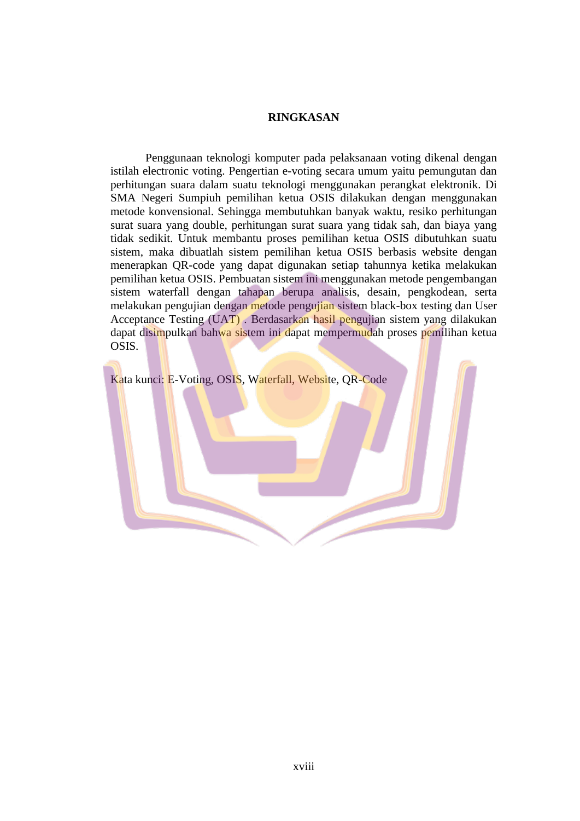## **RINGKASAN**

Penggunaan teknologi komputer pada pelaksanaan voting dikenal dengan istilah electronic voting. Pengertian e-voting secara umum yaitu pemungutan dan perhitungan suara dalam suatu teknologi menggunakan perangkat elektronik. Di SMA Negeri Sumpiuh pemilihan ketua OSIS dilakukan dengan menggunakan metode konvensional. Sehingga membutuhkan banyak waktu, resiko perhitungan surat suara yang double, perhitungan surat suara yang tidak sah, dan biaya yang tidak sedikit. Untuk membantu proses pemilihan ketua OSIS dibutuhkan suatu sistem, maka dibuatlah sistem pemilihan ketua OSIS berbasis website dengan menerapkan QR-code yang dapat digunakan setiap tahunnya ketika melakukan pemilihan ketua OSIS. Pembuatan sistem ini menggunakan metode pengembangan sistem waterfall dengan tahapan berupa analisis, desain, pengkodean, serta melakukan pengujian dengan metode pengujian sistem black-box testing dan User Acceptance Testing (UAT) . Berdasarkan hasil pengujian sistem yang dilakukan dapat disimpulkan bahwa sistem ini dapat mempermudah proses pemilihan ketua OSIS.